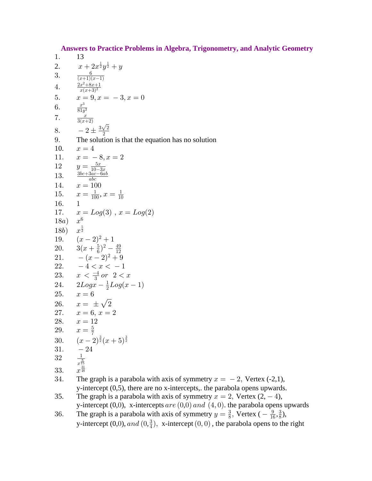**Answers to Practice Problems in Algebra, Trigonometry, and Analytic Geometry** 

 $1.$ 13  $\frac{x+2x^{\frac{1}{2}}y^{\frac{1}{2}}+y}{\frac{(x+1)(x-1)}{x(x+3)^2}}$ 2. 3. 4.  $x = 9, x = -3, x = 0$ <br> $\frac{x^3}{81y^3}$ 5. 6.  $\overline{7}$ .  $\frac{x}{3(x+2)}$  $-2 \pm \frac{3\sqrt{2}}{2}$ 8. 9. The solution is that the equation has no solution 10.  $x=4$  $x = -8, x = 2$ 11.  $y = \frac{5x}{10-3x}$  $\frac{3bc+3ac-6ab}{abc}$ 12 13. 14.  $x=100$  $x = \frac{1}{100}, x = \frac{1}{10}$ 15. 16.  $\mathbf{1}$  $x = Log(3)$ ,  $x = Log(2)$ 17.  $x^6$  $18a)$ 18b)  $x^{\frac{5}{2}}$ 19.  $(x-2)^2+1$ <br>
20.  $3(x+\frac{5}{6})^2-\frac{49}{12}$ 21.  $-(x-2)^2+9$ 22.  $-4 < x < -1$ 23.  $x < \frac{-4}{3}$  or  $2 < x$ 24.  $2Log x - \frac{1}{2}Log(x - 1)$ 25.  $x = 6$ 26.  $x = \pm \sqrt{2}$ 27.  $x = 6, x = 2$ 28.  $x = 12$ 29.  $x = \frac{5}{7}$ <br>30.  $(x-2)^{\frac{3}{2}}(x+5)^{\frac{3}{2}}$  $-24$ 31.  $\begin{array}{c}\n\frac{1}{x^{\frac{8}{15}}}\n\\ x^{\frac{31}{48}}\n\end{array}$ 32 33. The graph is a parabola with axis of symmetry  $x = -2$ , Vertex (-2,1), 34. y-intercept  $(0,5)$ , there are no x-intercepts, the parabola opens upwards. 35. The graph is a parabola with axis of symmetry  $x = 2$ , Vertex  $(2, -4)$ , y-intercept  $(0,0)$ , x-intercepts are  $(0,0)$  and  $(4,0)$ . the parabola opens upwards

The graph is a parabola with axis of symmetry  $y = \frac{3}{8}$ , Vertex ( $-\frac{9}{16}, \frac{3}{8}$ ), 36. y-intercept (0,0), and (0, $\frac{3}{4}$ ), x-intercept (0,0), the parabola opens to the right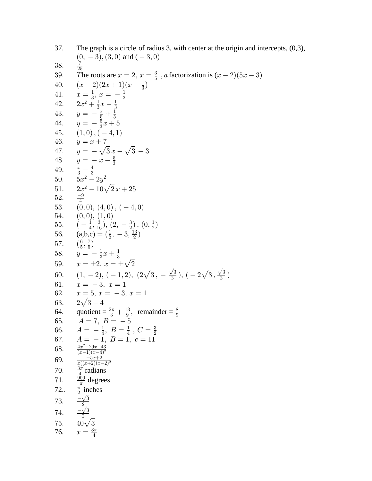37. The graph is a circle of radius 3, with center at the origin and intercepts,  $(0,3)$ ,  $(0, -3), (3, 0)$  and  $(-3, 0)$  $\frac{7}{25}$ 38. The roots are  $x = 2$ ,  $x = \frac{3}{5}$ , a factorization is  $(x - 2)(5x - 3)$ 39.  $(x-2)(2x+1)(x-\frac{1}{3})$ 40.  $x = \frac{1}{3}, x = -\frac{1}{2}$ <br>  $2x^2 + \frac{1}{3}x - \frac{1}{3}$ <br>  $y = -\frac{x}{5} + \frac{1}{5}$ 41. 42. 43.  $y = -\frac{5}{3}x + 5$ 44. 45.  $(1,0), (-4,1)$ 46.  $y = x + 7$ 47.  $y = -\sqrt{3}x - \sqrt{3} + 3$ <br>48  $y = -x - \frac{5}{3}$  $\frac{x}{3}-\frac{4}{3}\5x^2-2y^2$ 49. 50.  $2x^2-10\sqrt{2}x+25$ 51.  $\frac{-9}{4}$ <br>(0,0), (4,0), (-4,0) 52. 53.  $\begin{array}{c} (0,0),\ (1,0)\ (-\frac{1}{4},\frac{3}{16}),\ (2,-\frac{3}{2}),\ (0,\frac{1}{2})\ ( \mathrm{a,b,c})=(\frac{1}{2},\ -3,\frac{13}{2}) \end{array}$ 54. 55. 56.  $\left(\frac{6}{5}, \frac{7}{5}\right)$ <br>  $y = -\frac{1}{3}x + \frac{1}{3}$ 57. 58.  $x = \pm 2$ ,  $x = \pm \sqrt{2}$ 59. 60.  $(1, -2), (-1, 2), (2\sqrt{3}, -\frac{\sqrt{3}}{3}), (-2\sqrt{3}, \frac{\sqrt{3}}{3})$ 61.  $x = -3, x = 1$ 62.  $x = 5, x = -3, x = 1$ 63.  $2\sqrt{3}-4$ 64. quotient =  $\frac{2x}{3} + \frac{13}{9}$ , remainder =  $\frac{8}{9}$ 65.  $A = 7, B = -5$ <br>66.  $A = -\frac{1}{4}, B = \frac{1}{4}, C = \frac{3}{2}$  $A = -1, B = 1, c = 11$ <br> $\frac{4x^2 - 29x + 43}{(x-1)(x-4)^2}$ <br> $\frac{-5x+2}{x((x+2)(x-2))^2}$ 67. 68. 69.  $\frac{3\pi}{4}$  radians 70.  $rac{900}{\pi}$  degrees 71.  $rac{\pi}{2}$  inches  $72.$  $\frac{\frac{2}{2}}{\frac{-\sqrt{3}}{2}}$ 73. 74.  $40\sqrt{3}$ 75. 76.  $x = \frac{3\pi}{4}$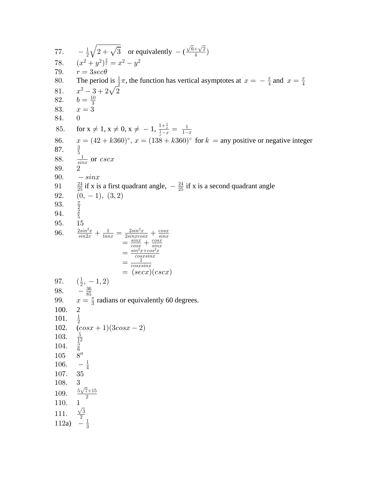$-\frac{1}{2}\sqrt{2+\sqrt{3}}$  or equivalently  $-(\frac{\sqrt{6}+\sqrt{2}}{4})$  $77.$  $(x^2+y^2)^{\frac{3}{2}}=x^2-y^2$ 78. 79.  $r = 3sec\theta$ The period is  $\frac{1}{2}\pi$ , the function has vertical asymptotes at  $x = -\frac{\pi}{4}$  and  $x = \frac{\pi}{4}$ 80.  $x^2-3+2\sqrt{2}$ <br> $b=\frac{10}{3}$ 81. 82. 83.  $x=3$ 84.  $\overline{0}$ for  $x \neq 1$ ,  $x \neq 0$ ,  $x \neq -1$ ,  $\frac{1+\frac{1}{x}}{\frac{1}{x}-x} = \frac{1}{1-x}$ 85.  $x = (42 + k360)$ °,  $x = (138 + k360)$ ° for  $k =$ any positive or negative integer 86. 87.  $rac{1}{\sin x}$  or  $cscx$ 88. 89.  $\overline{2}$  $-sinx$ 90.  $\frac{24}{25}$  if x is a first quadrant angle,  $-\frac{24}{25}$  if x is a second quadrant angle 91  $(0, -1), (3, 2)$ 92. 93.  $\frac{\pi}{2}$   $\frac{2}{5}$ 94. 95. 15  $\frac{2\sin^2 x}{\sin 2x} + \frac{1}{\tan x} = \frac{2\sin^2 x}{2\sin x \cos x} + \frac{\cos x}{\sin x}$ <br>=  $\frac{\sin x}{\cos x} + \frac{\cos x}{\sin x}$ <br>=  $\frac{\sin^2 x + \cos^2 x}{\cos x \sin x}$ <br>=  $\frac{1}{\cos x \sin x}$ 96.  $=$   $(secx)(cscx)$  $(\frac{1}{2}, -1, 2)$ <br>-  $\frac{36}{85}$ 97. 98. 99.  $x = \frac{\pi}{3}$  radians or equivalently 60 degrees. 100.  $\overline{2}$  $\frac{1}{2}$ 101.  $(cos x + 1)(3 cos x - 2)$ 102.  $\frac{5}{12}$   $\frac{5}{6}$   $\frac{8}{\prime}$ 103. 104. 105  $-\frac{1}{4}$ 106. 107. 35 108. 3 100.  $\frac{5\sqrt{7}+15}{2}$ <br>
10. 1<br>
111.  $\frac{\sqrt{3}}{2}$ <br>
112a)  $-\frac{1}{3}$